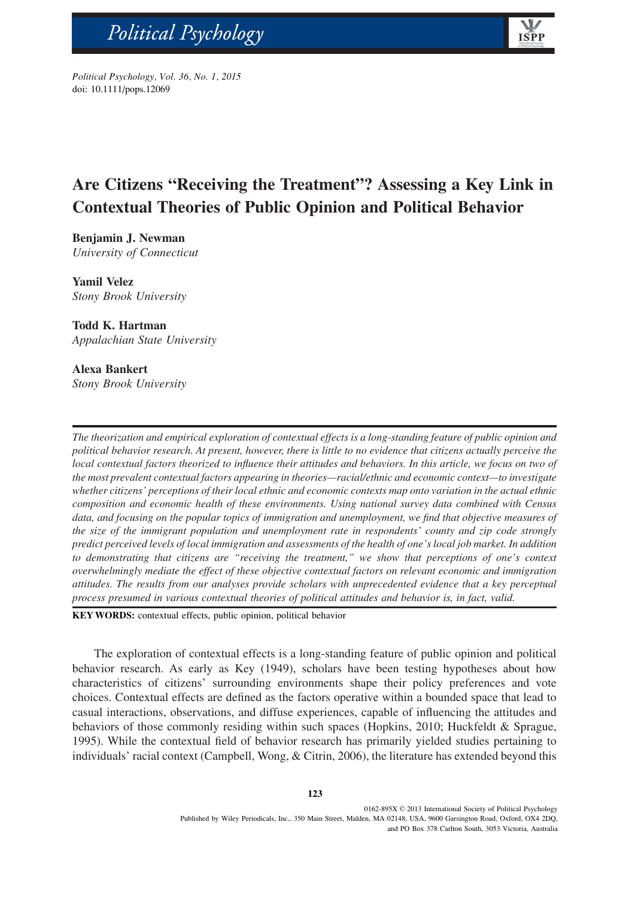*Political Psychology, Vol. xx, No. xx, 2013* Political Psychology, Vol. 36, No. 1, 2015 doi: 10.1111/pops.12069

bs\_bs\_banner

# **Are Citizens "Receiving the Treatment"? Assessing a Key Link in Contextual Theories of Public Opinion and Political Behavior**

**ISPF** 

**Benjamin J. Newman** *University of Connecticut*

**Yamil Velez** *Stony Brook University*

# **Todd K. Hartman**

*Appalachian State University*

# **Alexa Bankert**

*Stony Brook University*

*The theorization and empirical exploration of contextual effects is a long-standing feature of public opinion and political behavior research. At present, however, there is little to no evidence that citizens actually perceive the local contextual factors theorized to influence their attitudes and behaviors. In this article, we focus on two of the most prevalent contextual factors appearing in theories—racial/ethnic and economic context—to investigate whether citizens' perceptions of their local ethnic and economic contexts map onto variation in the actual ethnic composition and economic health of these environments. Using national survey data combined with Census data, and focusing on the popular topics of immigration and unemployment, we find that objective measures of the size of the immigrant population and unemployment rate in respondents' county and zip code strongly predict perceived levels of local immigration and assessments of the health of one's local job market. In addition to demonstrating that citizens are "receiving the treatment," we show that perceptions of one's context overwhelmingly mediate the effect of these objective contextual factors on relevant economic and immigration attitudes. The results from our analyses provide scholars with unprecedented evidence that a key perceptual process presumed in various contextual theories of political attitudes and behavior is, in fact, valid.*

KEYWORDS: contextual effects, public opinion, political behavior

The exploration of contextual effects is a long-standing feature of public opinion and political behavior research. As early as Key (1949), scholars have been testing hypotheses about how characteristics of citizens' surrounding environments shape their policy preferences and vote choices. Contextual effects are defined as the factors operative within a bounded space that lead to casual interactions, observations, and diffuse experiences, capable of influencing the attitudes and behaviors of those commonly residing within such spaces (Hopkins, 2010; Huckfeldt & Sprague, 1995). While the contextual field of behavior research has primarily yielded studies pertaining to individuals' racial context (Campbell, Wong, & Citrin, 2006), the literature has extended beyond this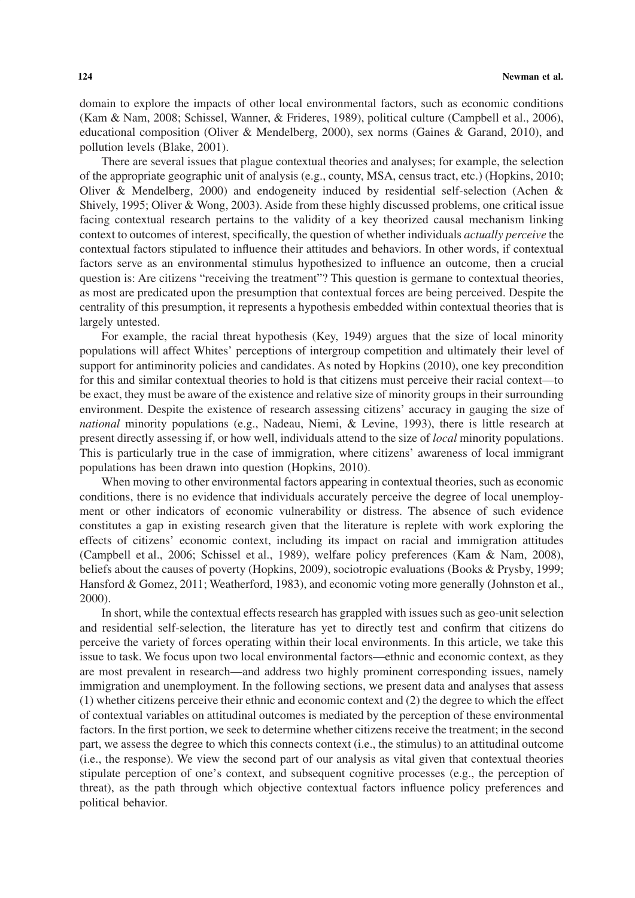domain to explore the impacts of other local environmental factors, such as economic conditions (Kam & Nam, 2008; Schissel, Wanner, & Frideres, 1989), political culture (Campbell et al., 2006), educational composition (Oliver & Mendelberg, 2000), sex norms (Gaines & Garand, 2010), and pollution levels (Blake, 2001).

There are several issues that plague contextual theories and analyses; for example, the selection of the appropriate geographic unit of analysis (e.g., county, MSA, census tract, etc.) (Hopkins, 2010; Oliver & Mendelberg, 2000) and endogeneity induced by residential self-selection (Achen & Shively, 1995; Oliver & Wong, 2003). Aside from these highly discussed problems, one critical issue facing contextual research pertains to the validity of a key theorized causal mechanism linking context to outcomes of interest, specifically, the question of whether individuals *actually perceive* the contextual factors stipulated to influence their attitudes and behaviors. In other words, if contextual factors serve as an environmental stimulus hypothesized to influence an outcome, then a crucial question is: Are citizens "receiving the treatment"? This question is germane to contextual theories, as most are predicated upon the presumption that contextual forces are being perceived. Despite the centrality of this presumption, it represents a hypothesis embedded within contextual theories that is largely untested.

For example, the racial threat hypothesis (Key, 1949) argues that the size of local minority populations will affect Whites' perceptions of intergroup competition and ultimately their level of support for antiminority policies and candidates. As noted by Hopkins (2010), one key precondition for this and similar contextual theories to hold is that citizens must perceive their racial context—to be exact, they must be aware of the existence and relative size of minority groups in their surrounding environment. Despite the existence of research assessing citizens' accuracy in gauging the size of *national* minority populations (e.g., Nadeau, Niemi, & Levine, 1993), there is little research at present directly assessing if, or how well, individuals attend to the size of *local* minority populations. This is particularly true in the case of immigration, where citizens' awareness of local immigrant populations has been drawn into question (Hopkins, 2010).

When moving to other environmental factors appearing in contextual theories, such as economic conditions, there is no evidence that individuals accurately perceive the degree of local unemployment or other indicators of economic vulnerability or distress. The absence of such evidence constitutes a gap in existing research given that the literature is replete with work exploring the effects of citizens' economic context, including its impact on racial and immigration attitudes (Campbell et al., 2006; Schissel et al., 1989), welfare policy preferences (Kam & Nam, 2008), beliefs about the causes of poverty (Hopkins, 2009), sociotropic evaluations (Books & Prysby, 1999; Hansford & Gomez, 2011; Weatherford, 1983), and economic voting more generally (Johnston et al., 2000).

In short, while the contextual effects research has grappled with issues such as geo-unit selection and residential self-selection, the literature has yet to directly test and confirm that citizens do perceive the variety of forces operating within their local environments. In this article, we take this issue to task. We focus upon two local environmental factors—ethnic and economic context, as they are most prevalent in research—and address two highly prominent corresponding issues, namely immigration and unemployment. In the following sections, we present data and analyses that assess (1) whether citizens perceive their ethnic and economic context and (2) the degree to which the effect of contextual variables on attitudinal outcomes is mediated by the perception of these environmental factors. In the first portion, we seek to determine whether citizens receive the treatment; in the second part, we assess the degree to which this connects context (i.e., the stimulus) to an attitudinal outcome (i.e., the response). We view the second part of our analysis as vital given that contextual theories stipulate perception of one's context, and subsequent cognitive processes (e.g., the perception of threat), as the path through which objective contextual factors influence policy preferences and political behavior.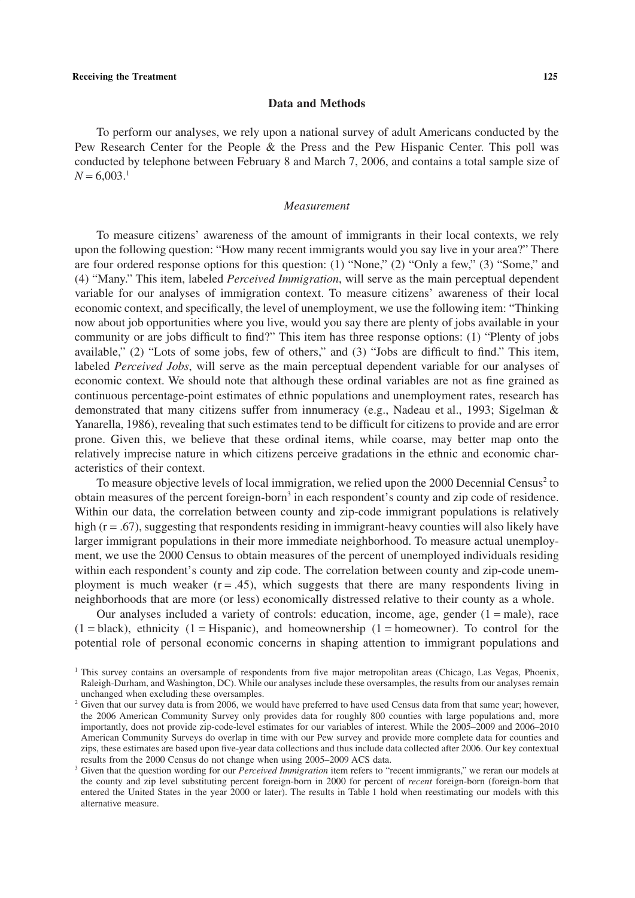#### **Data and Methods**

To perform our analyses, we rely upon a national survey of adult Americans conducted by the Pew Research Center for the People & the Press and the Pew Hispanic Center. This poll was conducted by telephone between February 8 and March 7, 2006, and contains a total sample size of  $N = 6,003<sup>1</sup>$ 

#### *Measurement*

To measure citizens' awareness of the amount of immigrants in their local contexts, we rely upon the following question: "How many recent immigrants would you say live in your area?" There are four ordered response options for this question: (1) "None," (2) "Only a few," (3) "Some," and (4) "Many." This item, labeled *Perceived Immigration*, will serve as the main perceptual dependent variable for our analyses of immigration context. To measure citizens' awareness of their local economic context, and specifically, the level of unemployment, we use the following item: "Thinking now about job opportunities where you live, would you say there are plenty of jobs available in your community or are jobs difficult to find?" This item has three response options: (1) "Plenty of jobs available," (2) "Lots of some jobs, few of others," and (3) "Jobs are difficult to find." This item, labeled *Perceived Jobs*, will serve as the main perceptual dependent variable for our analyses of economic context. We should note that although these ordinal variables are not as fine grained as continuous percentage-point estimates of ethnic populations and unemployment rates, research has demonstrated that many citizens suffer from innumeracy (e.g., Nadeau et al., 1993; Sigelman & Yanarella, 1986), revealing that such estimates tend to be difficult for citizens to provide and are error prone. Given this, we believe that these ordinal items, while coarse, may better map onto the relatively imprecise nature in which citizens perceive gradations in the ethnic and economic characteristics of their context.

To measure objective levels of local immigration, we relied upon the 2000 Decennial Census<sup>2</sup> to obtain measures of the percent foreign-born<sup>3</sup> in each respondent's county and zip code of residence. Within our data, the correlation between county and zip-code immigrant populations is relatively high (r = .67), suggesting that respondents residing in immigrant-heavy counties will also likely have larger immigrant populations in their more immediate neighborhood. To measure actual unemployment, we use the 2000 Census to obtain measures of the percent of unemployed individuals residing within each respondent's county and zip code. The correlation between county and zip-code unemployment is much weaker  $(r = .45)$ , which suggests that there are many respondents living in neighborhoods that are more (or less) economically distressed relative to their county as a whole.

Our analyses included a variety of controls: education, income, age, gender  $(1 = male)$ , race  $(1 = black)$ , ethnicity  $(1 = Hispanic)$ , and homeownership  $(1 = homeower)$ . To control for the potential role of personal economic concerns in shaping attention to immigrant populations and

<sup>&</sup>lt;sup>1</sup> This survey contains an oversample of respondents from five major metropolitan areas (Chicago, Las Vegas, Phoenix, Raleigh-Durham, and Washington, DC). While our analyses include these oversamples, the results from our analyses remain unchanged when excluding these oversamples.

<sup>&</sup>lt;sup>2</sup> Given that our survey data is from 2006, we would have preferred to have used Census data from that same year; however, the 2006 American Community Survey only provides data for roughly 800 counties with large populations and, more importantly, does not provide zip-code-level estimates for our variables of interest. While the 2005–2009 and 2006–2010 American Community Surveys do overlap in time with our Pew survey and provide more complete data for counties and zips, these estimates are based upon five-year data collections and thus include data collected after 2006. Our key contextual results from the 2000 Census do not change when using 2005–2009 ACS data.

<sup>3</sup> Given that the question wording for our *Perceived Immigration* item refers to "recent immigrants," we reran our models at the county and zip level substituting percent foreign-born in 2000 for percent of *recent* foreign-born (foreign-born that entered the United States in the year 2000 or later). The results in Table 1 hold when reestimating our models with this alternative measure.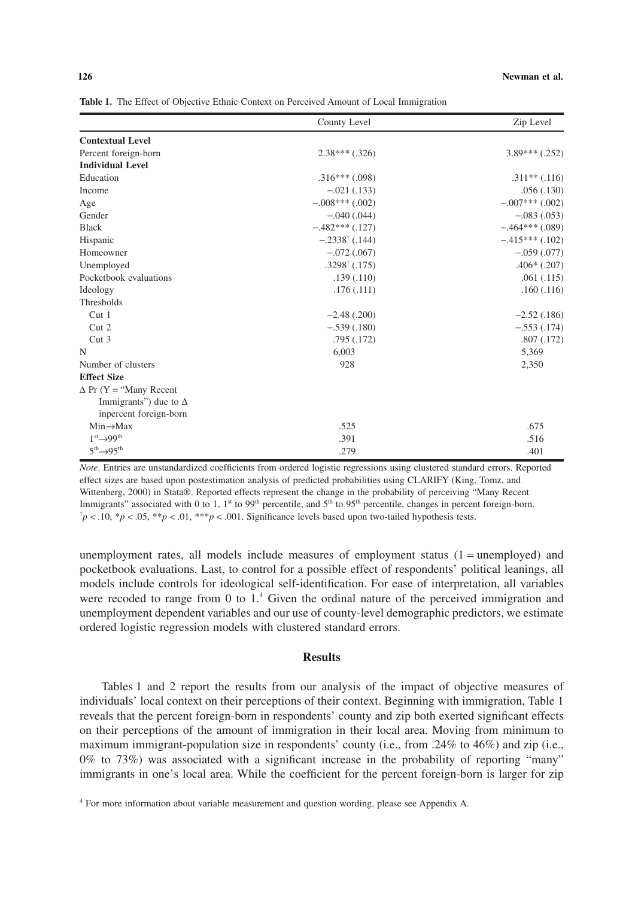**Table 1.** The Effect of Objective Ethnic Context on Perceived Amount of Local Immigration

|                                | County Level              | Zip Level          |
|--------------------------------|---------------------------|--------------------|
| <b>Contextual Level</b>        |                           |                    |
| Percent foreign-born           | $2.38***$ $(.326)$        | $3.89***$ $(.252)$ |
| <b>Individual Level</b>        |                           |                    |
| Education                      | $.316***(.098)$           | $.311**$ $(.116)$  |
| Income                         | $-.021(.133)$             | .056(.130)         |
| Age                            | $-.008***$ (.002)         | $-.007***$ (.002)  |
| Gender                         | $-.040(.044)$             | $-.083(.053)$      |
| <b>Black</b>                   | $-482***(0.127)$          | $-.464***$ (.089)  |
| Hispanic                       | $-.2338^{\dagger}$ (.144) | $-415***$ (.102)   |
| Homeowner                      | $-.072(.067)$             | $-.059(.077)$      |
| Unemployed                     | $.3298^{\dagger}$ (.175)  | $.406*(.207)$      |
| Pocketbook evaluations         | .139(.110)                | .061(.115)         |
| Ideology                       | .176(.111)                | .160(.116)         |
| Thresholds                     |                           |                    |
| Cut <sub>1</sub>               | $-2.48$ $(.200)$          | $-2.52(0.186)$     |
| Cut <sub>2</sub>               | $-.539(.180)$             | $-.553(.174)$      |
| Cut <sub>3</sub>               | .795(.172)                | .807(.172)         |
| N                              | 6,003                     | 5,369              |
| Number of clusters             | 928                       | 2,350              |
| <b>Effect Size</b>             |                           |                    |
| $\Delta$ Pr (Y = "Many Recent" |                           |                    |
| Immigrants") due to $\Delta$   |                           |                    |
| inpercent foreign-born         |                           |                    |
| $Min \rightarrow Max$          | .525                      | .675               |
| $1st \rightarrow 99th$         | .391                      | .516               |
| $5^{th} \rightarrow 95^{th}$   | .279                      | .401               |

*Note*. Entries are unstandardized coefficients from ordered logistic regressions using clustered standard errors. Reported effect sizes are based upon postestimation analysis of predicted probabilities using CLARIFY (King, Tomz, and Wittenberg, 2000) in Stata®. Reported effects represent the change in the probability of perceiving "Many Recent Immigrants" associated with 0 to 1, 1<sup>st</sup> to 99<sup>th</sup> percentile, and 5<sup>th</sup> to 95<sup>th</sup> percentile, changes in percent foreign-born.  $\phi$   $\uparrow$  *p* < .05, \*\**p* < .01, \*\*\**p* < .001. Significance levels based upon two-tailed hypothesis tests.

unemployment rates, all models include measures of employment status  $(1 =$  unemployed) and pocketbook evaluations. Last, to control for a possible effect of respondents' political leanings, all models include controls for ideological self-identification. For ease of interpretation, all variables were recoded to range from 0 to 1.<sup>4</sup> Given the ordinal nature of the perceived immigration and unemployment dependent variables and our use of county-level demographic predictors, we estimate ordered logistic regression models with clustered standard errors.

# **Results**

Tables 1 and 2 report the results from our analysis of the impact of objective measures of individuals' local context on their perceptions of their context. Beginning with immigration, Table 1 reveals that the percent foreign-born in respondents' county and zip both exerted significant effects on their perceptions of the amount of immigration in their local area. Moving from minimum to maximum immigrant-population size in respondents' county (i.e., from .24% to 46%) and zip (i.e., 0% to 73%) was associated with a significant increase in the probability of reporting "many" immigrants in one's local area. While the coefficient for the percent foreign-born is larger for zip

<sup>&</sup>lt;sup>4</sup> For more information about variable measurement and question wording, please see Appendix A.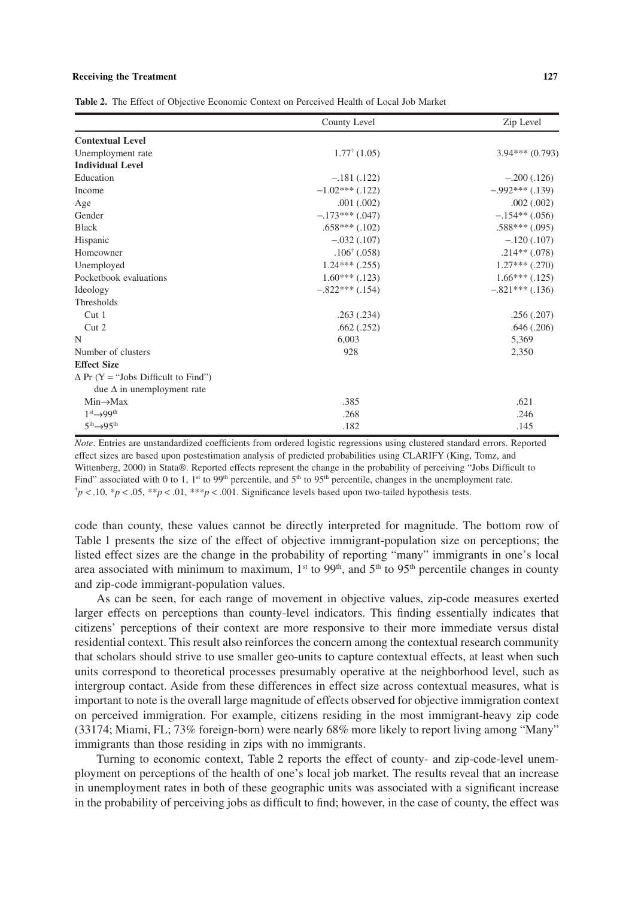# **Receiving the Treatment** 127

**Table 2.** The Effect of Objective Economic Context on Perceived Health of Local Job Market

|                                            | County Level            | Zip Level          |
|--------------------------------------------|-------------------------|--------------------|
| <b>Contextual Level</b>                    |                         |                    |
| Unemployment rate                          | $1.77^{\dagger}$ (1.05) | $3.94***(0.793)$   |
| <b>Individual Level</b>                    |                         |                    |
| Education                                  | $-.181(.122)$           | $-.200(.126)$      |
| Income                                     | $-1.02***$ (.122)       | $-0.992***(0.139)$ |
| Age                                        | .001(.002)              | .002(.002)         |
| Gender                                     | $-.173***(.047)$        | $-.154**(.056)$    |
| <b>Black</b>                               | $.658***$ $(.102)$      | $.588***(.095)$    |
| Hispanic                                   | $-.032(.107)$           | $-.120(.107)$      |
| Homeowner                                  | $.106^{\dagger}$ (.058) | $.214**$ (.078)    |
| Unemployed                                 | $1.24***$ $(.255)$      | $1.27***$ (.270)   |
| Pocketbook evaluations                     | $1.60***$ (.123)        | $1.66***(0.125)$   |
| Ideology                                   | $-.822***$ (.154)       | $-.821***$ (.136)  |
| Thresholds                                 |                         |                    |
| Cut <sub>1</sub>                           | .263(.234)              | .256(.207)         |
| Cut 2                                      | .662(.252)              | .646(.206)         |
| N                                          | 6,003                   | 5,369              |
| Number of clusters                         | 928                     | 2,350              |
| <b>Effect Size</b>                         |                         |                    |
| $\Delta$ Pr (Y = "Jobs Difficult to Find") |                         |                    |
| due $\Delta$ in unemployment rate          |                         |                    |
| $Min \rightarrow Max$                      | .385                    | .621               |
| $1st\rightarrow 99th$                      | .268                    | .246               |
| $5^{th} \rightarrow 95^{th}$               | .182                    | .145               |

*Note*. Entries are unstandardized coefficients from ordered logistic regressions using clustered standard errors. Reported effect sizes are based upon postestimation analysis of predicted probabilities using CLARIFY (King, Tomz, and Wittenberg, 2000) in Stata®. Reported effects represent the change in the probability of perceiving "Jobs Difficult to Find" associated with 0 to 1, 1<sup>st</sup> to 99<sup>th</sup> percentile, and 5<sup>th</sup> to 95<sup>th</sup> percentile, changes in the unemployment rate.  $\phi$   $\uparrow$  *p* < .05, \*\**p* < .01, \*\*\**p* < .001. Significance levels based upon two-tailed hypothesis tests.

code than county, these values cannot be directly interpreted for magnitude. The bottom row of Table 1 presents the size of the effect of objective immigrant-population size on perceptions; the listed effect sizes are the change in the probability of reporting "many" immigrants in one's local area associated with minimum to maximum,  $1<sup>st</sup>$  to 99<sup>th</sup>, and  $5<sup>th</sup>$  to 95<sup>th</sup> percentile changes in county and zip-code immigrant-population values.

As can be seen, for each range of movement in objective values, zip-code measures exerted larger effects on perceptions than county-level indicators. This finding essentially indicates that citizens' perceptions of their context are more responsive to their more immediate versus distal residential context. This result also reinforces the concern among the contextual research community that scholars should strive to use smaller geo-units to capture contextual effects, at least when such units correspond to theoretical processes presumably operative at the neighborhood level, such as intergroup contact. Aside from these differences in effect size across contextual measures, what is important to note is the overall large magnitude of effects observed for objective immigration context on perceived immigration. For example, citizens residing in the most immigrant-heavy zip code (33174; Miami, FL; 73% foreign-born) were nearly 68% more likely to report living among "Many" immigrants than those residing in zips with no immigrants.

Turning to economic context, Table 2 reports the effect of county- and zip-code-level unemployment on perceptions of the health of one's local job market. The results reveal that an increase in unemployment rates in both of these geographic units was associated with a significant increase in the probability of perceiving jobs as difficult to find; however, in the case of county, the effect was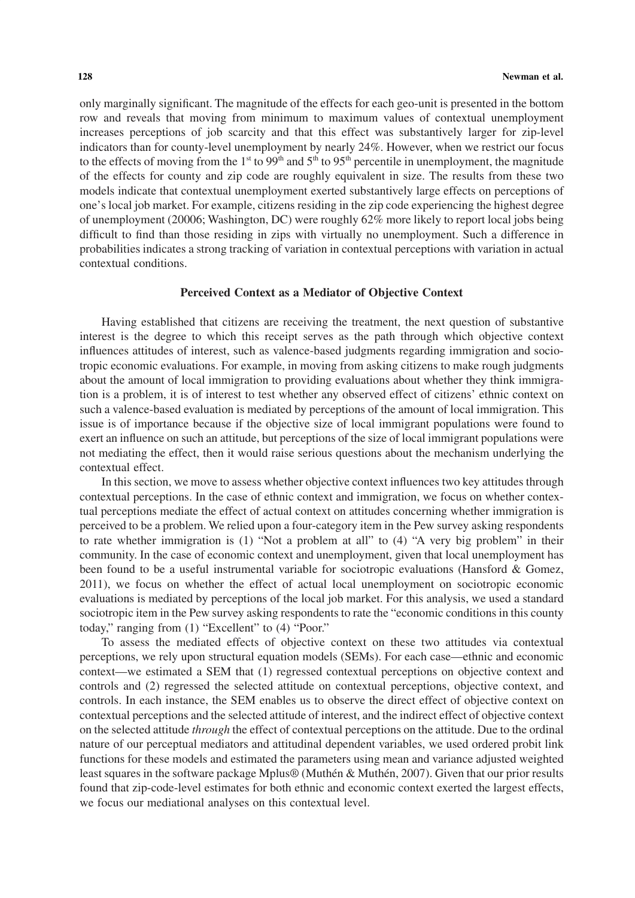only marginally significant. The magnitude of the effects for each geo-unit is presented in the bottom row and reveals that moving from minimum to maximum values of contextual unemployment increases perceptions of job scarcity and that this effect was substantively larger for zip-level indicators than for county-level unemployment by nearly 24%. However, when we restrict our focus to the effects of moving from the 1<sup>st</sup> to 99<sup>th</sup> and 5<sup>th</sup> to 95<sup>th</sup> percentile in unemployment, the magnitude of the effects for county and zip code are roughly equivalent in size. The results from these two models indicate that contextual unemployment exerted substantively large effects on perceptions of one's local job market. For example, citizens residing in the zip code experiencing the highest degree of unemployment (20006; Washington, DC) were roughly 62% more likely to report local jobs being difficult to find than those residing in zips with virtually no unemployment. Such a difference in probabilities indicates a strong tracking of variation in contextual perceptions with variation in actual contextual conditions.

#### **Perceived Context as a Mediator of Objective Context**

Having established that citizens are receiving the treatment, the next question of substantive interest is the degree to which this receipt serves as the path through which objective context influences attitudes of interest, such as valence-based judgments regarding immigration and sociotropic economic evaluations. For example, in moving from asking citizens to make rough judgments about the amount of local immigration to providing evaluations about whether they think immigration is a problem, it is of interest to test whether any observed effect of citizens' ethnic context on such a valence-based evaluation is mediated by perceptions of the amount of local immigration. This issue is of importance because if the objective size of local immigrant populations were found to exert an influence on such an attitude, but perceptions of the size of local immigrant populations were not mediating the effect, then it would raise serious questions about the mechanism underlying the contextual effect.

In this section, we move to assess whether objective context influences two key attitudes through contextual perceptions. In the case of ethnic context and immigration, we focus on whether contextual perceptions mediate the effect of actual context on attitudes concerning whether immigration is perceived to be a problem. We relied upon a four-category item in the Pew survey asking respondents to rate whether immigration is (1) "Not a problem at all" to (4) "A very big problem" in their community. In the case of economic context and unemployment, given that local unemployment has been found to be a useful instrumental variable for sociotropic evaluations (Hansford & Gomez, 2011), we focus on whether the effect of actual local unemployment on sociotropic economic evaluations is mediated by perceptions of the local job market. For this analysis, we used a standard sociotropic item in the Pew survey asking respondents to rate the "economic conditions in this county today," ranging from (1) "Excellent" to (4) "Poor."

To assess the mediated effects of objective context on these two attitudes via contextual perceptions, we rely upon structural equation models (SEMs). For each case—ethnic and economic context—we estimated a SEM that (1) regressed contextual perceptions on objective context and controls and (2) regressed the selected attitude on contextual perceptions, objective context, and controls. In each instance, the SEM enables us to observe the direct effect of objective context on contextual perceptions and the selected attitude of interest, and the indirect effect of objective context on the selected attitude *through* the effect of contextual perceptions on the attitude. Due to the ordinal nature of our perceptual mediators and attitudinal dependent variables, we used ordered probit link functions for these models and estimated the parameters using mean and variance adjusted weighted least squares in the software package Mplus® (Muthén & Muthén, 2007). Given that our prior results found that zip-code-level estimates for both ethnic and economic context exerted the largest effects, we focus our mediational analyses on this contextual level.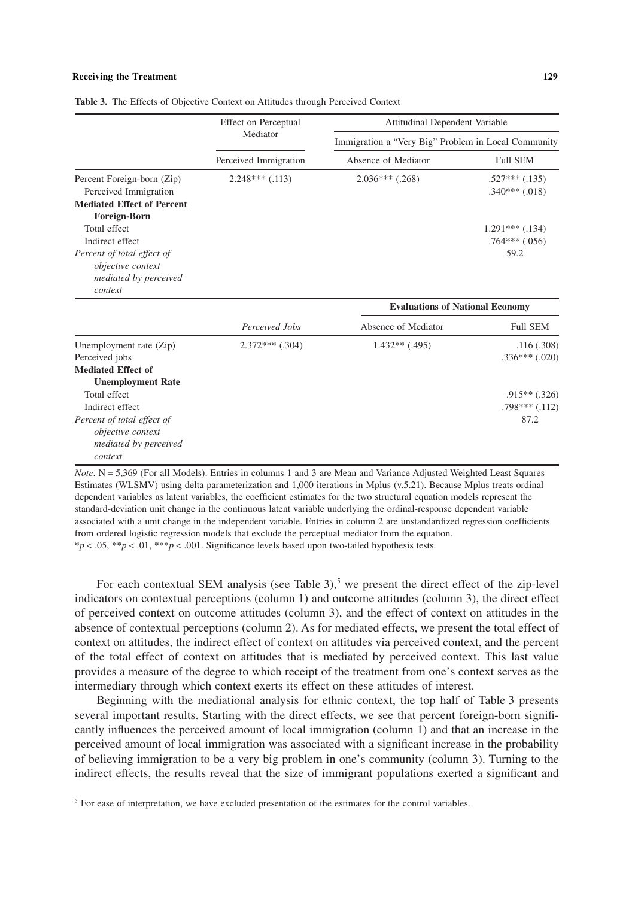#### **Receiving the Treatment** 129

|                                                                   | Effect on Perceptual<br>Mediator | Attitudinal Dependent Variable                      |                                          |  |
|-------------------------------------------------------------------|----------------------------------|-----------------------------------------------------|------------------------------------------|--|
|                                                                   |                                  | Immigration a "Very Big" Problem in Local Community |                                          |  |
|                                                                   | Perceived Immigration            | Absence of Mediator                                 | <b>Full SEM</b>                          |  |
| Percent Foreign-born (Zip)<br>Perceived Immigration               | $2.248***$ (.113)                | $2.036***$ (.268)                                   | $.527***$ $(.135)$<br>$.340***$ $(.018)$ |  |
| <b>Mediated Effect of Percent</b><br>Foreign-Born<br>Total effect |                                  |                                                     | $1.291***$ $(.134)$                      |  |
| Indirect effect                                                   |                                  |                                                     | $.764***$ $(.056)$                       |  |
| Percent of total effect of                                        |                                  |                                                     | 59.2                                     |  |
| objective context                                                 |                                  |                                                     |                                          |  |
| mediated by perceived<br>context                                  |                                  |                                                     |                                          |  |
|                                                                   |                                  | <b>Evaluations of National Economy</b>              |                                          |  |
|                                                                   | Perceived Jobs                   | Absence of Mediator                                 | <b>Full SEM</b>                          |  |
| Unemployment rate (Zip)                                           | $2.372***$ $(.304)$              | $1.432**$ (.495)                                    | .116(.308)                               |  |
| Perceived jobs                                                    |                                  |                                                     | $.336***$ $(.020)$                       |  |
| <b>Mediated Effect of</b>                                         |                                  |                                                     |                                          |  |
| <b>Unemployment Rate</b>                                          |                                  |                                                     |                                          |  |
| Total effect                                                      |                                  |                                                     | $.915**$ $(.326)$                        |  |
| Indirect effect                                                   |                                  |                                                     | $.798***$ $(.112)$                       |  |
| Percent of total effect of                                        |                                  |                                                     | 87.2                                     |  |
| objective context                                                 |                                  |                                                     |                                          |  |
| mediated by perceived                                             |                                  |                                                     |                                          |  |
| context                                                           |                                  |                                                     |                                          |  |

**Table 3.** The Effects of Objective Context on Attitudes through Perceived Context

*Note*. N = 5,369 (For all Models). Entries in columns 1 and 3 are Mean and Variance Adjusted Weighted Least Squares Estimates (WLSMV) using delta parameterization and 1,000 iterations in Mplus (v.5.21). Because Mplus treats ordinal dependent variables as latent variables, the coefficient estimates for the two structural equation models represent the standard-deviation unit change in the continuous latent variable underlying the ordinal-response dependent variable associated with a unit change in the independent variable. Entries in column 2 are unstandardized regression coefficients from ordered logistic regression models that exclude the perceptual mediator from the equation. \**p* < .05, \*\**p* < .01, \*\*\**p* < .001. Significance levels based upon two-tailed hypothesis tests.

For each contextual SEM analysis (see Table 3),<sup>5</sup> we present the direct effect of the zip-level indicators on contextual perceptions (column 1) and outcome attitudes (column 3), the direct effect of perceived context on outcome attitudes (column 3), and the effect of context on attitudes in the absence of contextual perceptions (column 2). As for mediated effects, we present the total effect of context on attitudes, the indirect effect of context on attitudes via perceived context, and the percent of the total effect of context on attitudes that is mediated by perceived context. This last value provides a measure of the degree to which receipt of the treatment from one's context serves as the intermediary through which context exerts its effect on these attitudes of interest.

Beginning with the mediational analysis for ethnic context, the top half of Table 3 presents several important results. Starting with the direct effects, we see that percent foreign-born significantly influences the perceived amount of local immigration (column 1) and that an increase in the perceived amount of local immigration was associated with a significant increase in the probability of believing immigration to be a very big problem in one's community (column 3). Turning to the indirect effects, the results reveal that the size of immigrant populations exerted a significant and

<sup>&</sup>lt;sup>5</sup> For ease of interpretation, we have excluded presentation of the estimates for the control variables.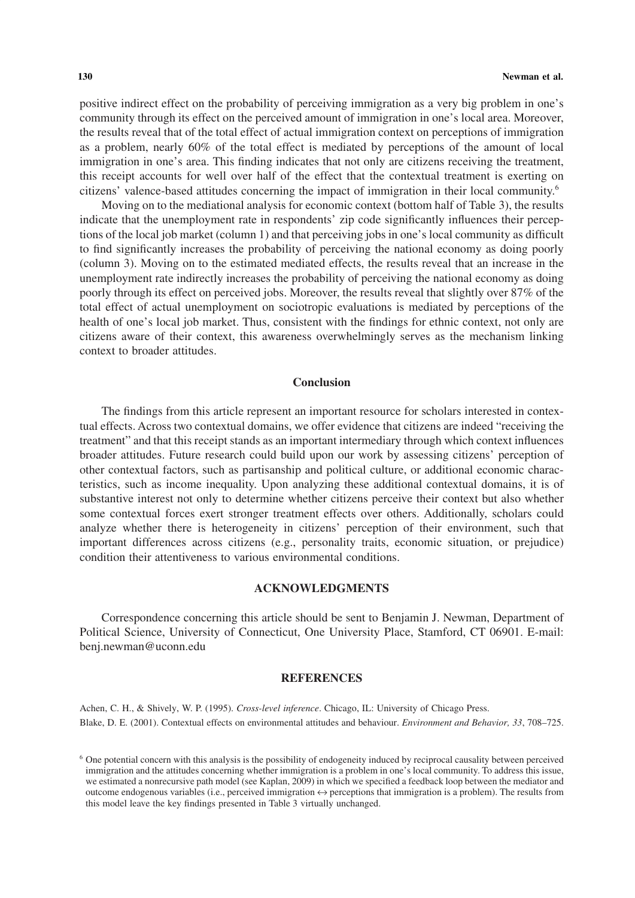positive indirect effect on the probability of perceiving immigration as a very big problem in one's community through its effect on the perceived amount of immigration in one's local area. Moreover, the results reveal that of the total effect of actual immigration context on perceptions of immigration as a problem, nearly 60% of the total effect is mediated by perceptions of the amount of local immigration in one's area. This finding indicates that not only are citizens receiving the treatment, this receipt accounts for well over half of the effect that the contextual treatment is exerting on citizens' valence-based attitudes concerning the impact of immigration in their local community.6

Moving on to the mediational analysis for economic context (bottom half of Table 3), the results indicate that the unemployment rate in respondents' zip code significantly influences their perceptions of the local job market (column 1) and that perceiving jobs in one's local community as difficult to find significantly increases the probability of perceiving the national economy as doing poorly (column 3). Moving on to the estimated mediated effects, the results reveal that an increase in the unemployment rate indirectly increases the probability of perceiving the national economy as doing poorly through its effect on perceived jobs. Moreover, the results reveal that slightly over 87% of the total effect of actual unemployment on sociotropic evaluations is mediated by perceptions of the health of one's local job market. Thus, consistent with the findings for ethnic context, not only are citizens aware of their context, this awareness overwhelmingly serves as the mechanism linking context to broader attitudes.

## **Conclusion**

The findings from this article represent an important resource for scholars interested in contextual effects. Across two contextual domains, we offer evidence that citizens are indeed "receiving the treatment" and that this receipt stands as an important intermediary through which context influences broader attitudes. Future research could build upon our work by assessing citizens' perception of other contextual factors, such as partisanship and political culture, or additional economic characteristics, such as income inequality. Upon analyzing these additional contextual domains, it is of substantive interest not only to determine whether citizens perceive their context but also whether some contextual forces exert stronger treatment effects over others. Additionally, scholars could analyze whether there is heterogeneity in citizens' perception of their environment, such that important differences across citizens (e.g., personality traits, economic situation, or prejudice) condition their attentiveness to various environmental conditions.

# **ACKNOWLEDGMENTS**

Correspondence concerning this article should be sent to Benjamin J. Newman, Department of Political Science, University of Connecticut, One University Place, Stamford, CT 06901. E-mail: benj.newman@uconn.edu

#### **REFERENCES**

Achen, C. H., & Shively, W. P. (1995). *Cross-level inference*. Chicago, IL: University of Chicago Press. Blake, D. E. (2001). Contextual effects on environmental attitudes and behaviour. *Environment and Behavior, 33*, 708–725.

<sup>6</sup> One potential concern with this analysis is the possibility of endogeneity induced by reciprocal causality between perceived immigration and the attitudes concerning whether immigration is a problem in one's local community. To address this issue, we estimated a nonrecursive path model (see Kaplan, 2009) in which we specified a feedback loop between the mediator and outcome endogenous variables (i.e., perceived immigration  $\leftrightarrow$  perceptions that immigration is a problem). The results from this model leave the key findings presented in Table 3 virtually unchanged.